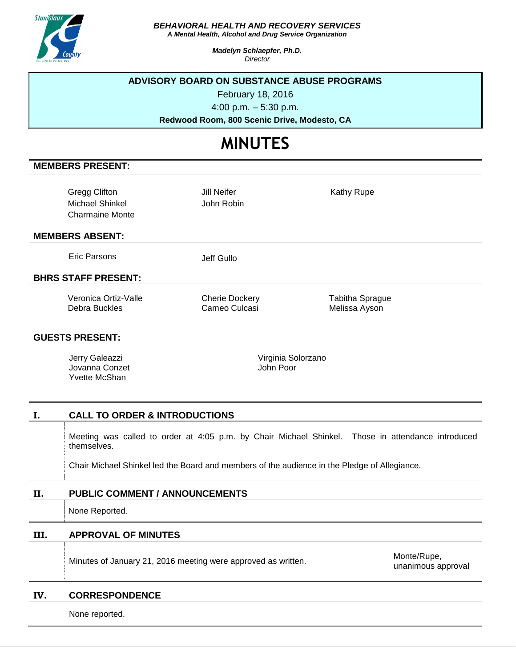

## *BEHAVIORAL HEALTH AND RECOVERY SERVICES*

*A Mental Health, Alcohol and Drug Service Organization*

*Madelyn Schlaepfer, Ph.D. Director*

## **ADVISORY BOARD ON SUBSTANCE ABUSE PROGRAMS**

February 18, 2016

4:00 p.m. – 5:30 p.m.

**Redwood Room, 800 Scenic Drive, Modesto, CA**

# **MINUTES**

# **MEMBERS PRESENT:**

| Gregg Clifton   |
|-----------------|
| Michael Shinkel |
| Charmaine Monte |

Jill Neifer John Robin Kathy Rupe

#### **MEMBERS ABSENT:**

Eric Parsons Jeff Gullo

# **BHRS STAFF PRESENT:**

Veronica Ortiz-Valle Debra Buckles

Cherie Dockery Cameo Culcasi

Tabitha Sprague Melissa Ayson

#### **GUESTS PRESENT:**

Jerry Galeazzi Jovanna Conzet Yvette McShan

Virginia Solorzano John Poor

## **I. CALL TO ORDER & INTRODUCTIONS**

Meeting was called to order at 4:05 p.m. by Chair Michael Shinkel. Those in attendance introduced themselves.

Chair Michael Shinkel led the Board and members of the audience in the Pledge of Allegiance.

## **II. PUBLIC COMMENT / ANNOUNCEMENTS**

None Reported.

# **III. APPROVAL OF MINUTES**

Minutes of January 21, 2016 meeting were approved as written.

Monte/Rupe, unanimous approval

## **IV. CORRESPONDENCE**

None reported.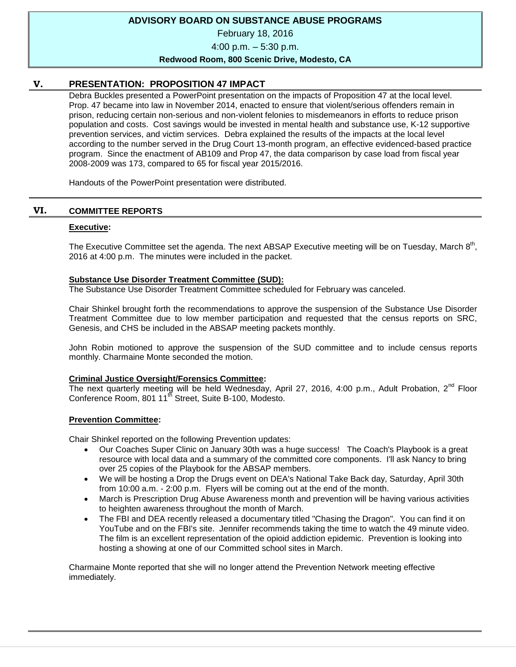## **ADVISORY BOARD ON SUBSTANCE ABUSE PROGRAMS**

February 18, 2016

4:00 p.m. – 5:30 p.m.

#### **Redwood Room, 800 Scenic Drive, Modesto, CA**

## **V. PRESENTATION: PROPOSITION 47 IMPACT**

Debra Buckles presented a PowerPoint presentation on the impacts of Proposition 47 at the local level. Prop. 47 became into law in November 2014, enacted to ensure that violent/serious offenders remain in prison, reducing certain non-serious and non-violent felonies to misdemeanors in efforts to reduce prison population and costs. Cost savings would be invested in mental health and substance use, K-12 supportive prevention services, and victim services. Debra explained the results of the impacts at the local level according to the number served in the Drug Court 13-month program, an effective evidenced-based practice program. Since the enactment of AB109 and Prop 47, the data comparison by case load from fiscal year 2008-2009 was 173, compared to 65 for fiscal year 2015/2016.

Handouts of the PowerPoint presentation were distributed.

#### **VI. COMMITTEE REPORTS**

#### **Executive:**

The Executive Committee set the agenda. The next ABSAP Executive meeting will be on Tuesday, March  $8<sup>th</sup>$ , 2016 at 4:00 p.m. The minutes were included in the packet.

#### **Substance Use Disorder Treatment Committee (SUD):**

The Substance Use Disorder Treatment Committee scheduled for February was canceled.

Chair Shinkel brought forth the recommendations to approve the suspension of the Substance Use Disorder Treatment Committee due to low member participation and requested that the census reports on SRC, Genesis, and CHS be included in the ABSAP meeting packets monthly.

John Robin motioned to approve the suspension of the SUD committee and to include census reports monthly. Charmaine Monte seconded the motion.

#### **Criminal Justice Oversight/Forensics Committee:**

The next quarterly meeting will be held Wednesday, April 27, 2016, 4:00 p.m., Adult Probation, 2<sup>nd</sup> Floor Conference Room, 801 11<sup>th</sup> Street, Suite B-100, Modesto.

#### **Prevention Committee:**

Chair Shinkel reported on the following Prevention updates:

- Our Coaches Super Clinic on January 30th was a huge success! The Coach's Playbook is a great resource with local data and a summary of the committed core components. I'll ask Nancy to bring over 25 copies of the Playbook for the ABSAP members.
- We will be hosting a Drop the Drugs event on DEA's National Take Back day, Saturday, April 30th from 10:00 a.m. - 2:00 p.m. Flyers will be coming out at the end of the month.
- March is Prescription Drug Abuse Awareness month and prevention will be having various activities to heighten awareness throughout the month of March.
- The FBI and DEA recently released a documentary titled "Chasing the Dragon". You can find it on YouTube and on the FBI's site. Jennifer recommends taking the time to watch the 49 minute video. The film is an excellent representation of the opioid addiction epidemic. Prevention is looking into hosting a showing at one of our Committed school sites in March.

Charmaine Monte reported that she will no longer attend the Prevention Network meeting effective immediately.